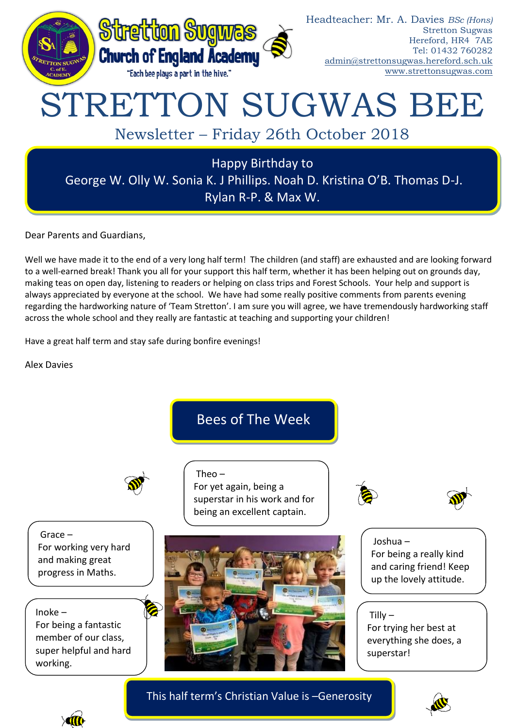

Dear Parents and Guardians,

Well we have made it to the end of a very long half term! The children (and staff) are exhausted and are looking forward to a well-earned break! Thank you all for your support this half term, whether it has been helping out on grounds day, making teas on open day, listening to readers or helping on class trips and Forest Schools. Your help and support is always appreciated by everyone at the school. We have had some really positive comments from parents evening regarding the hardworking nature of 'Team Stretton'. I am sure you will agree, we have tremendously hardworking staff across the whole school and they really are fantastic at teaching and supporting your children!

Have a great half term and stay safe during bonfire evenings!

Alex Davies



This half term's Christian Value is –Generosity